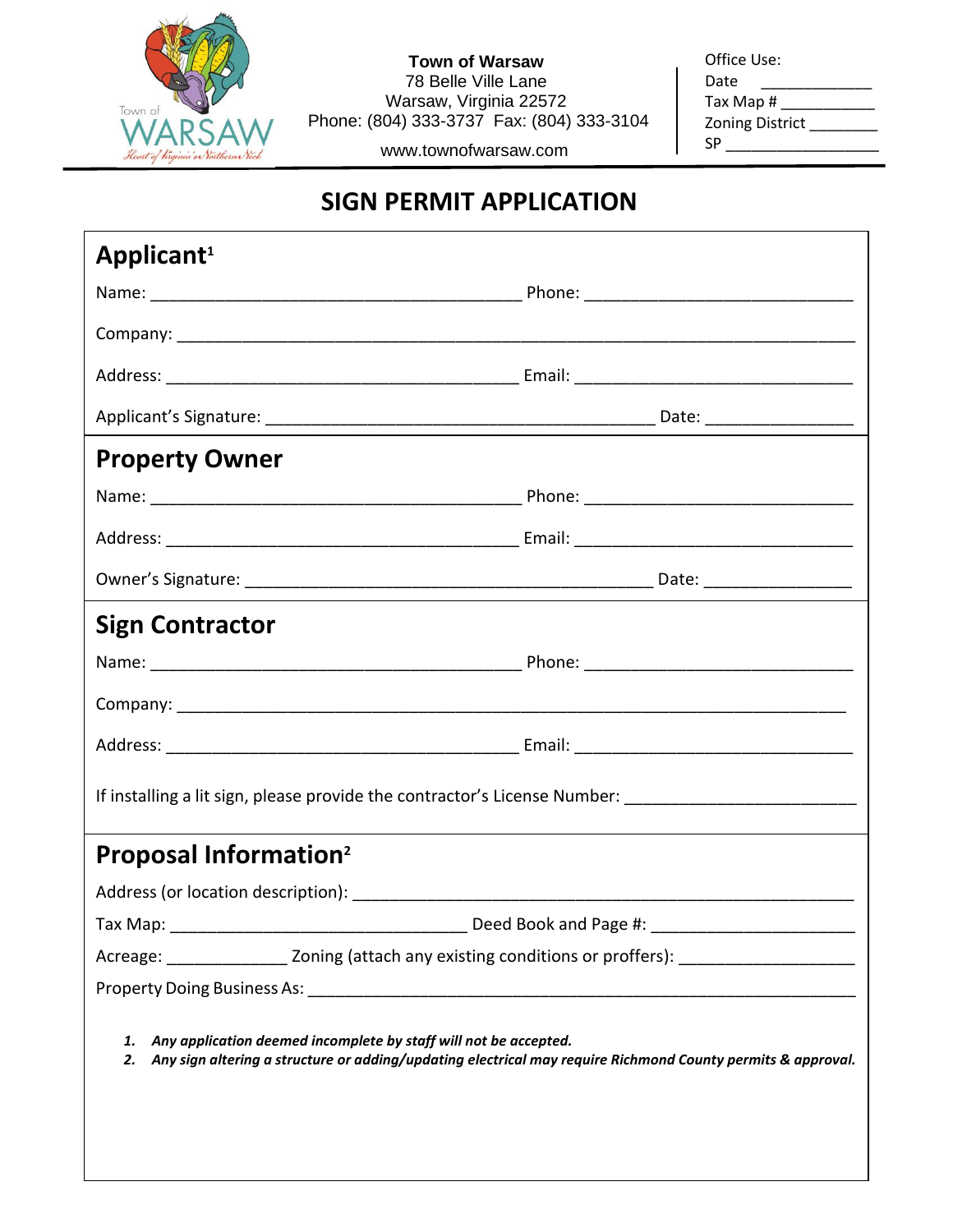

**Town of Warsaw** 78 Belle Ville Lane Warsaw, Virginia 22572 Phone: (804) 333-3737 Fax: (804) 333-3104

www.townofwarsaw.com

| Office Use:            |
|------------------------|
| Date                   |
| Tax Map #              |
| <b>Zoning District</b> |
| ςp                     |

## **SIGN PERMIT APPLICATION**

| <b>Property Owner</b>                                                                                                                                                                       |                                                  |  |  |  |  |
|---------------------------------------------------------------------------------------------------------------------------------------------------------------------------------------------|--------------------------------------------------|--|--|--|--|
|                                                                                                                                                                                             |                                                  |  |  |  |  |
|                                                                                                                                                                                             |                                                  |  |  |  |  |
|                                                                                                                                                                                             |                                                  |  |  |  |  |
| <b>Sign Contractor</b>                                                                                                                                                                      |                                                  |  |  |  |  |
|                                                                                                                                                                                             |                                                  |  |  |  |  |
|                                                                                                                                                                                             |                                                  |  |  |  |  |
|                                                                                                                                                                                             |                                                  |  |  |  |  |
| If installing a lit sign, please provide the contractor's License Number: __________________________                                                                                        |                                                  |  |  |  |  |
| <b>Proposal Information<sup>2</sup></b>                                                                                                                                                     |                                                  |  |  |  |  |
|                                                                                                                                                                                             |                                                  |  |  |  |  |
|                                                                                                                                                                                             | Deed Book and Page #: __________________________ |  |  |  |  |
| Acreage: _________________________ Zoning (attach any existing conditions or proffers): ______________________                                                                              |                                                  |  |  |  |  |
|                                                                                                                                                                                             |                                                  |  |  |  |  |
| Any application deemed incomplete by staff will not be accepted.<br>1.<br>Any sign altering a structure or adding/updating electrical may require Richmond County permits & approval.<br>2. |                                                  |  |  |  |  |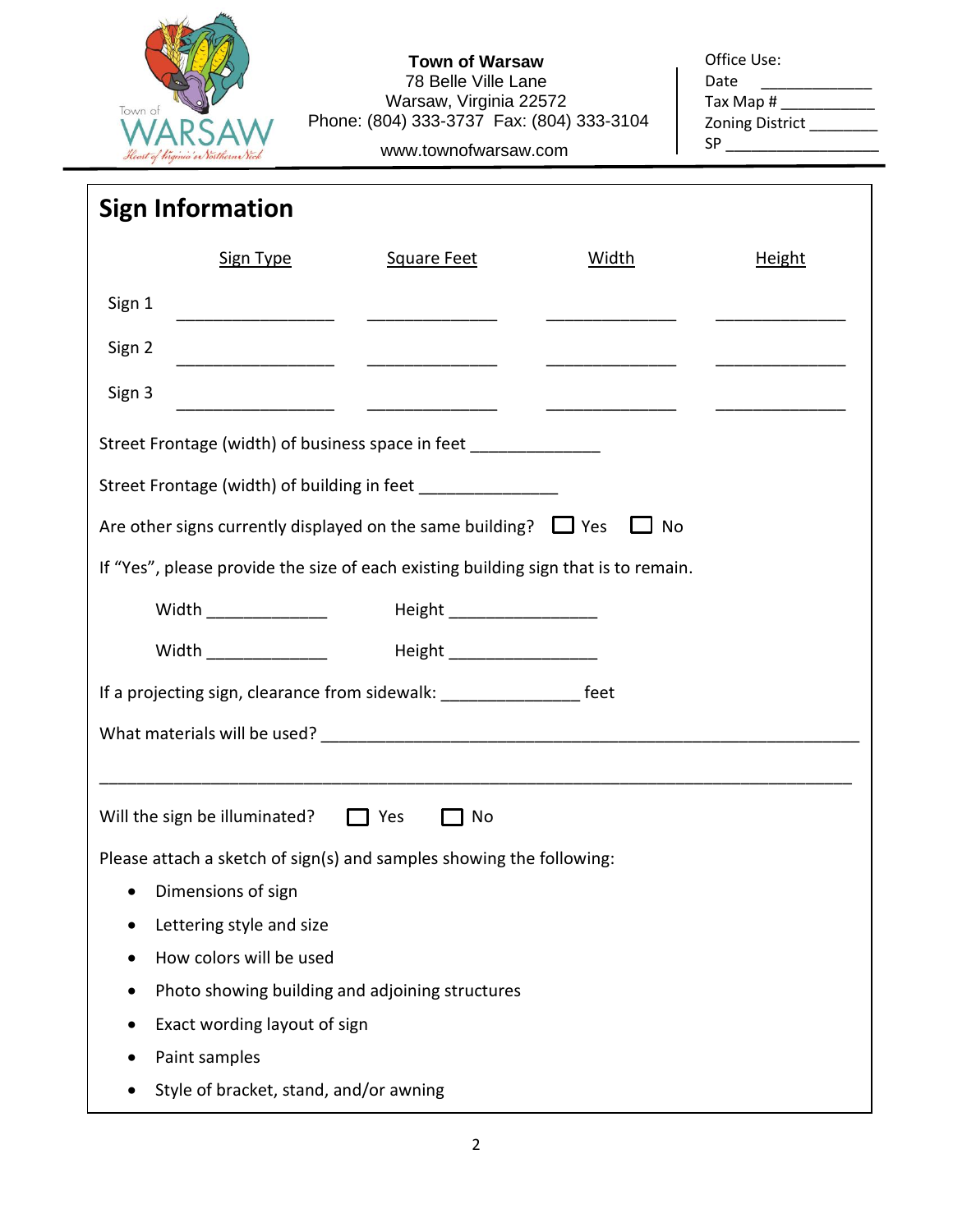

## **Town of Warsaw** 78 Belle Ville Lane Warsaw, Virginia 22572 Phone: (804) 333-3737 Fax: (804) 333-3104

| Office Use:            |
|------------------------|
| Date                   |
| Tax Map #              |
| <b>Zoning District</b> |
| SΡ                     |

## www.townofwarsaw.com

| <b>Sign Information</b>                                                             |                                                                      |                               |                                            |               |  |  |  |
|-------------------------------------------------------------------------------------|----------------------------------------------------------------------|-------------------------------|--------------------------------------------|---------------|--|--|--|
|                                                                                     | Sign Type                                                            | Square Feet                   | <b>Width</b>                               | <b>Height</b> |  |  |  |
| Sign 1                                                                              |                                                                      |                               |                                            |               |  |  |  |
| Sign 2                                                                              |                                                                      |                               |                                            |               |  |  |  |
| Sign 3                                                                              |                                                                      |                               | <u> 1986 - Jan Sammen, manatar ang pag</u> |               |  |  |  |
|                                                                                     | Street Frontage (width) of business space in feet _______________    |                               |                                            |               |  |  |  |
| Street Frontage (width) of building in feet ________________                        |                                                                      |                               |                                            |               |  |  |  |
| Are other signs currently displayed on the same building? $\Box$ Yes<br>$\Box$ No   |                                                                      |                               |                                            |               |  |  |  |
| If "Yes", please provide the size of each existing building sign that is to remain. |                                                                      |                               |                                            |               |  |  |  |
|                                                                                     | <b>Width Exercise Service</b>                                        | Height __________________     |                                            |               |  |  |  |
|                                                                                     | Width _________________                                              | Height ______________________ |                                            |               |  |  |  |
| If a projecting sign, clearance from sidewalk: ________________________ feet        |                                                                      |                               |                                            |               |  |  |  |
|                                                                                     |                                                                      |                               |                                            |               |  |  |  |
|                                                                                     |                                                                      |                               |                                            |               |  |  |  |
|                                                                                     | Will the sign be illuminated? $\Box$ Yes                             | $\Box$ No                     |                                            |               |  |  |  |
|                                                                                     | Please attach a sketch of sign(s) and samples showing the following: |                               |                                            |               |  |  |  |
|                                                                                     | Dimensions of sign                                                   |                               |                                            |               |  |  |  |
|                                                                                     | Lettering style and size                                             |                               |                                            |               |  |  |  |
|                                                                                     | How colors will be used                                              |                               |                                            |               |  |  |  |
|                                                                                     | Photo showing building and adjoining structures                      |                               |                                            |               |  |  |  |
| Exact wording layout of sign                                                        |                                                                      |                               |                                            |               |  |  |  |
|                                                                                     | Paint samples                                                        |                               |                                            |               |  |  |  |
|                                                                                     | Style of bracket, stand, and/or awning                               |                               |                                            |               |  |  |  |